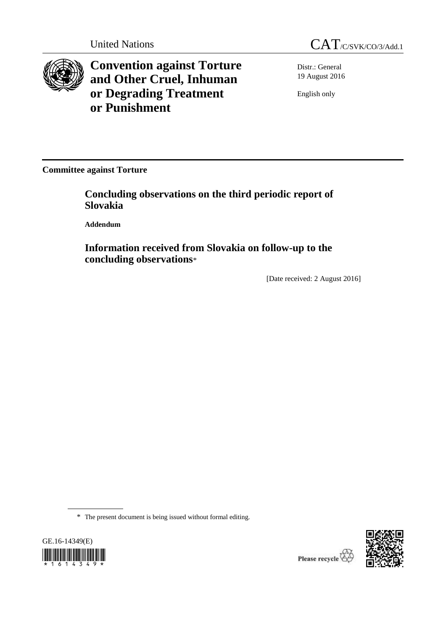

**Convention against Torture and Other Cruel, Inhuman or Degrading Treatment or Punishment**



Distr.: General 19 August 2016

English only

**Committee against Torture**

**Concluding observations on the third periodic report of Slovakia**

**Addendum**

**Information received from Slovakia on follow-up to the concluding observations**\*

[Date received: 2 August 2016]

\* The present document is being issued without formal editing.



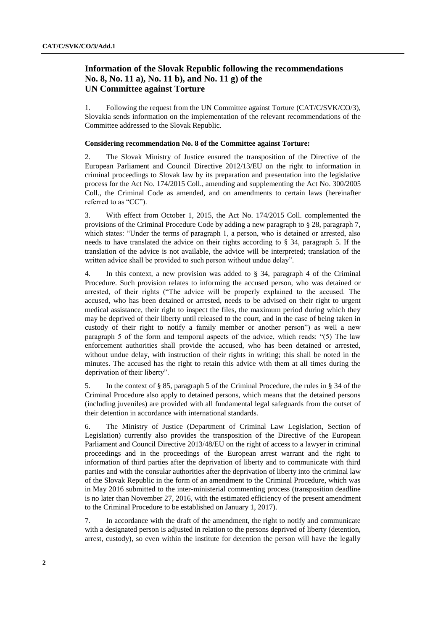# **Information of the Slovak Republic following the recommendations No. 8, No. 11 a), No. 11 b), and No. 11 g) of the UN Committee against Torture**

1. Following the request from the UN Committee against Torture (CAT/C/SVK/CO/3), Slovakia sends information on the implementation of the relevant recommendations of the Committee addressed to the Slovak Republic.

# **Considering recommendation No. 8 of the Committee against Torture:**

2. The Slovak Ministry of Justice ensured the transposition of the Directive of the European Parliament and Council Directive 2012/13/EU on the right to information in criminal proceedings to Slovak law by its preparation and presentation into the legislative process for the Act No. 174/2015 Coll., amending and supplementing the Act No. 300/2005 Coll., the Criminal Code as amended, and on amendments to certain laws (hereinafter referred to as "CC").

3. With effect from October 1, 2015, the Act No. 174/2015 Coll. complemented the provisions of the Criminal Procedure Code by adding a new paragraph to § 28, paragraph 7, which states: "Under the terms of paragraph 1, a person, who is detained or arrested, also needs to have translated the advice on their rights according to § 34, paragraph 5. If the translation of the advice is not available, the advice will be interpreted; translation of the written advice shall be provided to such person without undue delay".

4. In this context, a new provision was added to § 34, paragraph 4 of the Criminal Procedure. Such provision relates to informing the accused person, who was detained or arrested, of their rights ("The advice will be properly explained to the accused. The accused, who has been detained or arrested, needs to be advised on their right to urgent medical assistance, their right to inspect the files, the maximum period during which they may be deprived of their liberty until released to the court, and in the case of being taken in custody of their right to notify a family member or another person") as well a new paragraph 5 of the form and temporal aspects of the advice, which reads: "(5) The law enforcement authorities shall provide the accused, who has been detained or arrested, without undue delay, with instruction of their rights in writing; this shall be noted in the minutes. The accused has the right to retain this advice with them at all times during the deprivation of their liberty".

5. In the context of § 85, paragraph 5 of the Criminal Procedure, the rules in § 34 of the Criminal Procedure also apply to detained persons, which means that the detained persons (including juveniles) are provided with all fundamental legal safeguards from the outset of their detention in accordance with international standards.

6. The Ministry of Justice (Department of Criminal Law Legislation, Section of Legislation) currently also provides the transposition of the Directive of the European Parliament and Council Directive 2013/48/EU on the right of access to a lawyer in criminal proceedings and in the proceedings of the European arrest warrant and the right to information of third parties after the deprivation of liberty and to communicate with third parties and with the consular authorities after the deprivation of liberty into the criminal law of the Slovak Republic in the form of an amendment to the Criminal Procedure, which was in May 2016 submitted to the inter-ministerial commenting process (transposition deadline is no later than November 27, 2016, with the estimated efficiency of the present amendment to the Criminal Procedure to be established on January 1, 2017).

7. In accordance with the draft of the amendment, the right to notify and communicate with a designated person is adjusted in relation to the persons deprived of liberty (detention, arrest, custody), so even within the institute for detention the person will have the legally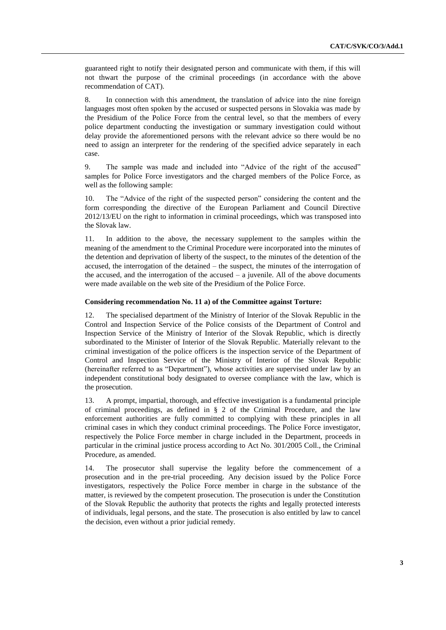guaranteed right to notify their designated person and communicate with them, if this will not thwart the purpose of the criminal proceedings (in accordance with the above recommendation of CAT).

8. In connection with this amendment, the translation of advice into the nine foreign languages most often spoken by the accused or suspected persons in Slovakia was made by the Presidium of the Police Force from the central level, so that the members of every police department conducting the investigation or summary investigation could without delay provide the aforementioned persons with the relevant advice so there would be no need to assign an interpreter for the rendering of the specified advice separately in each case.

9. The sample was made and included into "Advice of the right of the accused" samples for Police Force investigators and the charged members of the Police Force, as well as the following sample:

10. The "Advice of the right of the suspected person" considering the content and the form corresponding the directive of the European Parliament and Council Directive 2012/13/EU on the right to information in criminal proceedings, which was transposed into the Slovak law.

11. In addition to the above, the necessary supplement to the samples within the meaning of the amendment to the Criminal Procedure were incorporated into the minutes of the detention and deprivation of liberty of the suspect, to the minutes of the detention of the accused, the interrogation of the detained – the suspect, the minutes of the interrogation of the accused, and the interrogation of the accused  $-$  a juvenile. All of the above documents were made available on the web site of the Presidium of the Police Force.

## **Considering recommendation No. 11 a) of the Committee against Torture:**

12. The specialised department of the Ministry of Interior of the Slovak Republic in the Control and Inspection Service of the Police consists of the Department of Control and Inspection Service of the Ministry of Interior of the Slovak Republic, which is directly subordinated to the Minister of Interior of the Slovak Republic. Materially relevant to the criminal investigation of the police officers is the inspection service of the Department of Control and Inspection Service of the Ministry of Interior of the Slovak Republic (hereinafter referred to as "Department"), whose activities are supervised under law by an independent constitutional body designated to oversee compliance with the law, which is the prosecution.

13. A prompt, impartial, thorough, and effective investigation is a fundamental principle of criminal proceedings, as defined in § 2 of the Criminal Procedure, and the law enforcement authorities are fully committed to complying with these principles in all criminal cases in which they conduct criminal proceedings. The Police Force investigator, respectively the Police Force member in charge included in the Department, proceeds in particular in the criminal justice process according to Act No. 301/2005 Coll., the Criminal Procedure, as amended.

14. The prosecutor shall supervise the legality before the commencement of a prosecution and in the pre-trial proceeding. Any decision issued by the Police Force investigators, respectively the Police Force member in charge in the substance of the matter, is reviewed by the competent prosecution. The prosecution is under the Constitution of the Slovak Republic the authority that protects the rights and legally protected interests of individuals, legal persons, and the state. The prosecution is also entitled by law to cancel the decision, even without a prior judicial remedy.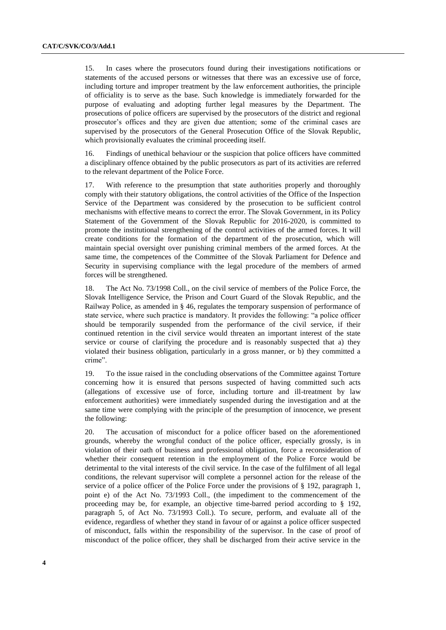15. In cases where the prosecutors found during their investigations notifications or statements of the accused persons or witnesses that there was an excessive use of force, including torture and improper treatment by the law enforcement authorities, the principle of officiality is to serve as the base. Such knowledge is immediately forwarded for the purpose of evaluating and adopting further legal measures by the Department. The prosecutions of police officers are supervised by the prosecutors of the district and regional prosecutor's offices and they are given due attention; some of the criminal cases are supervised by the prosecutors of the General Prosecution Office of the Slovak Republic, which provisionally evaluates the criminal proceeding itself.

16. Findings of unethical behaviour or the suspicion that police officers have committed a disciplinary offence obtained by the public prosecutors as part of its activities are referred to the relevant department of the Police Force.

17. With reference to the presumption that state authorities properly and thoroughly comply with their statutory obligations, the control activities of the Office of the Inspection Service of the Department was considered by the prosecution to be sufficient control mechanisms with effective means to correct the error. The Slovak Government, in its Policy Statement of the Government of the Slovak Republic for 2016-2020, is committed to promote the institutional strengthening of the control activities of the armed forces. It will create conditions for the formation of the department of the prosecution, which will maintain special oversight over punishing criminal members of the armed forces. At the same time, the competences of the Committee of the Slovak Parliament for Defence and Security in supervising compliance with the legal procedure of the members of armed forces will be strengthened.

18. The Act No. 73/1998 Coll., on the civil service of members of the Police Force, the Slovak Intelligence Service, the Prison and Court Guard of the Slovak Republic, and the Railway Police, as amended in § 46, regulates the temporary suspension of performance of state service, where such practice is mandatory. It provides the following: "a police officer should be temporarily suspended from the performance of the civil service, if their continued retention in the civil service would threaten an important interest of the state service or course of clarifying the procedure and is reasonably suspected that a) they violated their business obligation, particularly in a gross manner, or b) they committed a crime".

19. To the issue raised in the concluding observations of the Committee against Torture concerning how it is ensured that persons suspected of having committed such acts (allegations of excessive use of force, including torture and ill-treatment by law enforcement authorities) were immediately suspended during the investigation and at the same time were complying with the principle of the presumption of innocence, we present the following:

20. The accusation of misconduct for a police officer based on the aforementioned grounds, whereby the wrongful conduct of the police officer, especially grossly, is in violation of their oath of business and professional obligation, force a reconsideration of whether their consequent retention in the employment of the Police Force would be detrimental to the vital interests of the civil service. In the case of the fulfilment of all legal conditions, the relevant supervisor will complete a personnel action for the release of the service of a police officer of the Police Force under the provisions of § 192, paragraph 1, point e) of the Act No. 73/1993 Coll., (the impediment to the commencement of the proceeding may be, for example, an objective time-barred period according to § 192, paragraph 5, of Act No. 73/1993 Coll.). To secure, perform, and evaluate all of the evidence, regardless of whether they stand in favour of or against a police officer suspected of misconduct, falls within the responsibility of the supervisor. In the case of proof of misconduct of the police officer, they shall be discharged from their active service in the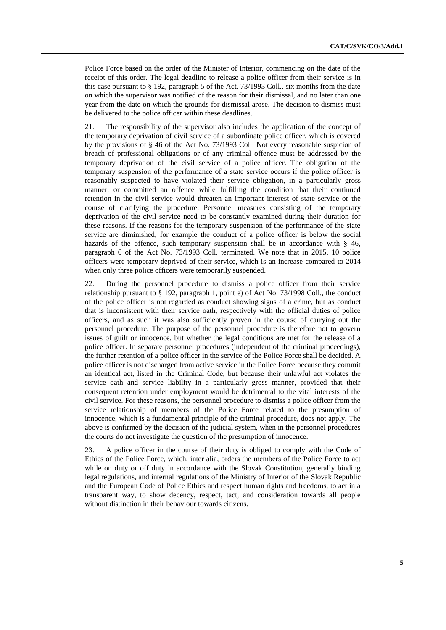Police Force based on the order of the Minister of Interior, commencing on the date of the receipt of this order. The legal deadline to release a police officer from their service is in this case pursuant to § 192, paragraph 5 of the Act. 73/1993 Coll., six months from the date on which the supervisor was notified of the reason for their dismissal, and no later than one year from the date on which the grounds for dismissal arose. The decision to dismiss must be delivered to the police officer within these deadlines.

21. The responsibility of the supervisor also includes the application of the concept of the temporary deprivation of civil service of a subordinate police officer, which is covered by the provisions of § 46 of the Act No. 73/1993 Coll. Not every reasonable suspicion of breach of professional obligations or of any criminal offence must be addressed by the temporary deprivation of the civil service of a police officer. The obligation of the temporary suspension of the performance of a state service occurs if the police officer is reasonably suspected to have violated their service obligation, in a particularly gross manner, or committed an offence while fulfilling the condition that their continued retention in the civil service would threaten an important interest of state service or the course of clarifying the procedure. Personnel measures consisting of the temporary deprivation of the civil service need to be constantly examined during their duration for these reasons. If the reasons for the temporary suspension of the performance of the state service are diminished, for example the conduct of a police officer is below the social hazards of the offence, such temporary suspension shall be in accordance with  $\S$  46, paragraph 6 of the Act No. 73/1993 Coll. terminated. We note that in 2015, 10 police officers were temporary deprived of their service, which is an increase compared to 2014 when only three police officers were temporarily suspended.

22. During the personnel procedure to dismiss a police officer from their service relationship pursuant to § 192, paragraph 1, point e) of Act No. 73/1998 Coll., the conduct of the police officer is not regarded as conduct showing signs of a crime, but as conduct that is inconsistent with their service oath, respectively with the official duties of police officers, and as such it was also sufficiently proven in the course of carrying out the personnel procedure. The purpose of the personnel procedure is therefore not to govern issues of guilt or innocence, but whether the legal conditions are met for the release of a police officer. In separate personnel procedures (independent of the criminal proceedings), the further retention of a police officer in the service of the Police Force shall be decided. A police officer is not discharged from active service in the Police Force because they commit an identical act, listed in the Criminal Code, but because their unlawful act violates the service oath and service liability in a particularly gross manner, provided that their consequent retention under employment would be detrimental to the vital interests of the civil service. For these reasons, the personnel procedure to dismiss a police officer from the service relationship of members of the Police Force related to the presumption of innocence, which is a fundamental principle of the criminal procedure, does not apply. The above is confirmed by the decision of the judicial system, when in the personnel procedures the courts do not investigate the question of the presumption of innocence.

23. A police officer in the course of their duty is obliged to comply with the Code of Ethics of the Police Force, which, inter alia, orders the members of the Police Force to act while on duty or off duty in accordance with the Slovak Constitution, generally binding legal regulations, and internal regulations of the Ministry of Interior of the Slovak Republic and the European Code of Police Ethics and respect human rights and freedoms, to act in a transparent way, to show decency, respect, tact, and consideration towards all people without distinction in their behaviour towards citizens.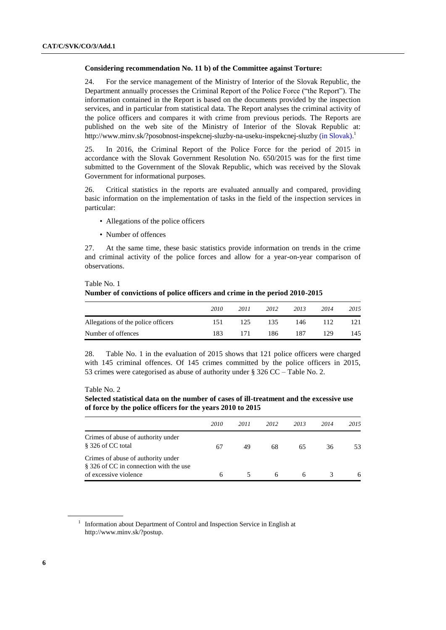#### **Considering recommendation No. 11 b) of the Committee against Torture:**

24. For the service management of the Ministry of Interior of the Slovak Republic, the Department annually processes the Criminal Report of the Police Force ("the Report"). The information contained in the Report is based on the documents provided by the inspection services, and in particular from statistical data. The Report analyses the criminal activity of the police officers and compares it with crime from previous periods. The Reports are published on the web site of the Ministry of Interior of the Slovak Republic at: <http://www.minv.sk/?posobnost-inspekcnej-sluzby-na-useku-inspekcnej-sluzby> (in Slovak).<sup>1</sup>

25. In 2016, the Criminal Report of the Police Force for the period of 2015 in accordance with the Slovak Government Resolution No. 650/2015 was for the first time submitted to the Government of the Slovak Republic, which was received by the Slovak Government for informational purposes.

26. Critical statistics in the reports are evaluated annually and compared, providing basic information on the implementation of tasks in the field of the inspection services in particular:

- Allegations of the police officers
- Number of offences

27. At the same time, these basic statistics provide information on trends in the crime and criminal activity of the police forces and allow for a year-on-year comparison of observations.

#### Table No. 1

# **Number of convictions of police officers and crime in the period 2010-2015**

|                                    | 2010 | 2011 | 2012 | 2013 | 2014 | 2015 |
|------------------------------------|------|------|------|------|------|------|
| Allegations of the police officers | 151  | 125  | 135  | 146  |      |      |
| Number of offences                 | 183  | 171  | 186  | 187  | 129  | 145  |

28. Table No. 1 in the evaluation of 2015 shows that 121 police officers were charged with 145 criminal offences. Of 145 crimes committed by the police officers in 2015, 53 crimes were categorised as abuse of authority under § 326 CC – Table No. 2.

## Table No. 2

**Selected statistical data on the number of cases of ill-treatment and the excessive use of force by the police officers for the years 2010 to 2015**

|                                                                                                       | 2010 | 2011 | 2012 | 2013 | 2014 | 2015 |
|-------------------------------------------------------------------------------------------------------|------|------|------|------|------|------|
| Crimes of abuse of authority under<br>§ 326 of CC total                                               | 67   | 49   | 68   | 65   | 36   | 53   |
| Crimes of abuse of authority under<br>§ 326 of CC in connection with the use<br>of excessive violence | 6    |      | 6    | 6    |      | 6    |
|                                                                                                       |      |      |      |      |      |      |

<sup>&</sup>lt;sup>1</sup> Information about Department of Control and Inspection Service in English at http://www.minv.sk/?postup.